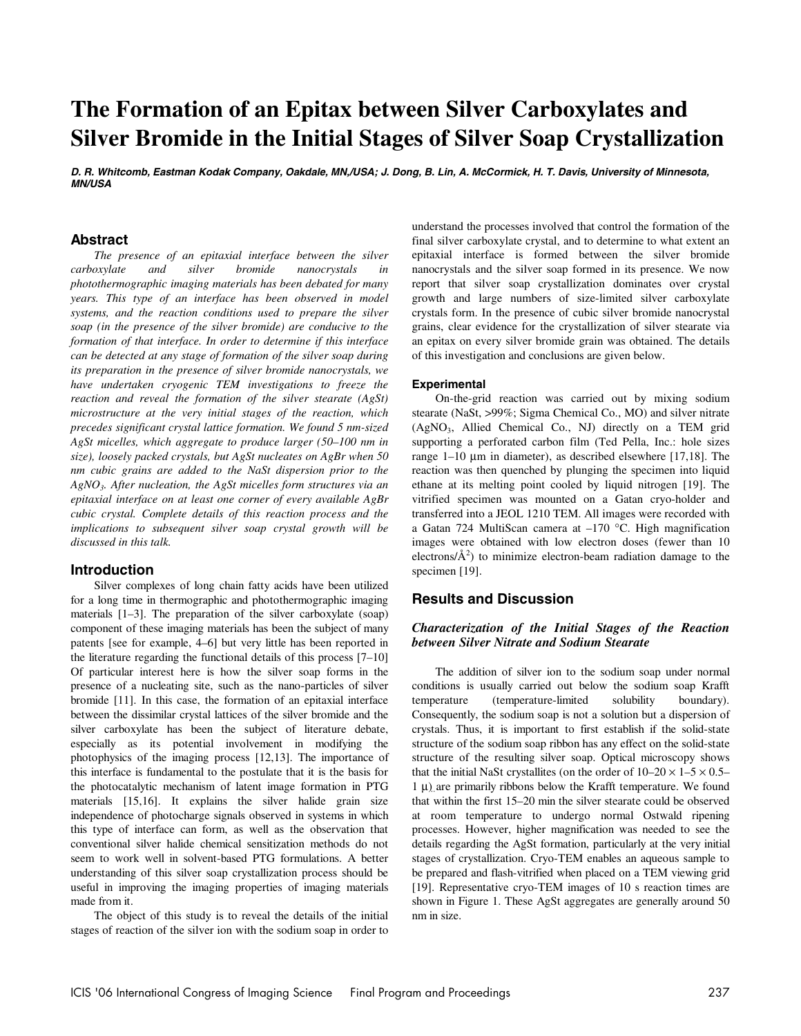# **The Formation of an Epitax between Silver Carboxylates and Silver Bromide in the Initial Stages of Silver Soap Crystallization**

**D. R. Whitcomb, Eastman Kodak Company, Oakdale, MN,/USA; J. Dong, B. Lin, A. McCormick, H. T. Davis, University of Minnesota, MN/USA** 

### **Abstract**

*The presence of an epitaxial interface between the silver carboxylate and silver bromide nanocrystals in photothermographic imaging materials has been debated for many years. This type of an interface has been observed in model systems, and the reaction conditions used to prepare the silver soap (in the presence of the silver bromide) are conducive to the formation of that interface. In order to determine if this interface can be detected at any stage of formation of the silver soap during its preparation in the presence of silver bromide nanocrystals, we have undertaken cryogenic TEM investigations to freeze the reaction and reveal the formation of the silver stearate (AgSt) microstructure at the very initial stages of the reaction, which precedes significant crystal lattice formation. We found 5 nm-sized AgSt micelles, which aggregate to produce larger (50–100 nm in size), loosely packed crystals, but AgSt nucleates on AgBr when 50 nm cubic grains are added to the NaSt dispersion prior to the AgNO3. After nucleation, the AgSt micelles form structures via an epitaxial interface on at least one corner of every available AgBr cubic crystal. Complete details of this reaction process and the implications to subsequent silver soap crystal growth will be discussed in this talk.* 

### **Introduction**

Silver complexes of long chain fatty acids have been utilized for a long time in thermographic and photothermographic imaging materials [1–3]. The preparation of the silver carboxylate (soap) component of these imaging materials has been the subject of many patents [see for example, 4–6] but very little has been reported in the literature regarding the functional details of this process [7–10] Of particular interest here is how the silver soap forms in the presence of a nucleating site, such as the nano-particles of silver bromide [11]. In this case, the formation of an epitaxial interface between the dissimilar crystal lattices of the silver bromide and the silver carboxylate has been the subject of literature debate, especially as its potential involvement in modifying the photophysics of the imaging process [12,13]. The importance of this interface is fundamental to the postulate that it is the basis for the photocatalytic mechanism of latent image formation in PTG materials [15,16]. It explains the silver halide grain size independence of photocharge signals observed in systems in which this type of interface can form, as well as the observation that conventional silver halide chemical sensitization methods do not seem to work well in solvent-based PTG formulations. A better understanding of this silver soap crystallization process should be useful in improving the imaging properties of imaging materials made from it.

The object of this study is to reveal the details of the initial stages of reaction of the silver ion with the sodium soap in order to

understand the processes involved that control the formation of the final silver carboxylate crystal, and to determine to what extent an epitaxial interface is formed between the silver bromide nanocrystals and the silver soap formed in its presence. We now report that silver soap crystallization dominates over crystal growth and large numbers of size-limited silver carboxylate crystals form. In the presence of cubic silver bromide nanocrystal grains, clear evidence for the crystallization of silver stearate via an epitax on every silver bromide grain was obtained. The details of this investigation and conclusions are given below.

#### **Experimental**

On-the-grid reaction was carried out by mixing sodium stearate (NaSt, >99%; Sigma Chemical Co., MO) and silver nitrate (AgNO3, Allied Chemical Co., NJ) directly on a TEM grid supporting a perforated carbon film (Ted Pella, Inc.: hole sizes range  $1-10 \mu m$  in diameter), as described elsewhere [17,18]. The reaction was then quenched by plunging the specimen into liquid ethane at its melting point cooled by liquid nitrogen [19]. The vitrified specimen was mounted on a Gatan cryo-holder and transferred into a JEOL 1210 TEM. All images were recorded with a Gatan 724 MultiScan camera at –170 °C. High magnification images were obtained with low electron doses (fewer than 10 electrons/ $\AA^2$ ) to minimize electron-beam radiation damage to the specimen [19].

## **Results and Discussion**

#### *Characterization of the Initial Stages of the Reaction between Silver Nitrate and Sodium Stearate*

The addition of silver ion to the sodium soap under normal conditions is usually carried out below the sodium soap Krafft temperature (temperature-limited solubility boundary). Consequently, the sodium soap is not a solution but a dispersion of crystals. Thus, it is important to first establish if the solid-state structure of the sodium soap ribbon has any effect on the solid-state structure of the resulting silver soap. Optical microscopy shows that the initial NaSt crystallites (on the order of  $10-20 \times 1-5 \times 0.5 1 \mu$ ) are primarily ribbons below the Krafft temperature. We found  $1 \mu$ ) are primarily ribbons below the Krafft temperature. We found that within the first  $15-20$  min the silver stearate could be observed at room temperature to undergo normal Ostwald ripening processes. However, higher magnification was needed to see the details regarding the AgSt formation, particularly at the very initial stages of crystallization. Cryo-TEM enables an aqueous sample to be prepared and flash-vitrified when placed on a TEM viewing grid [19]. Representative cryo-TEM images of 10 s reaction times are shown in Figure 1. These AgSt aggregates are generally around 50 nm in size.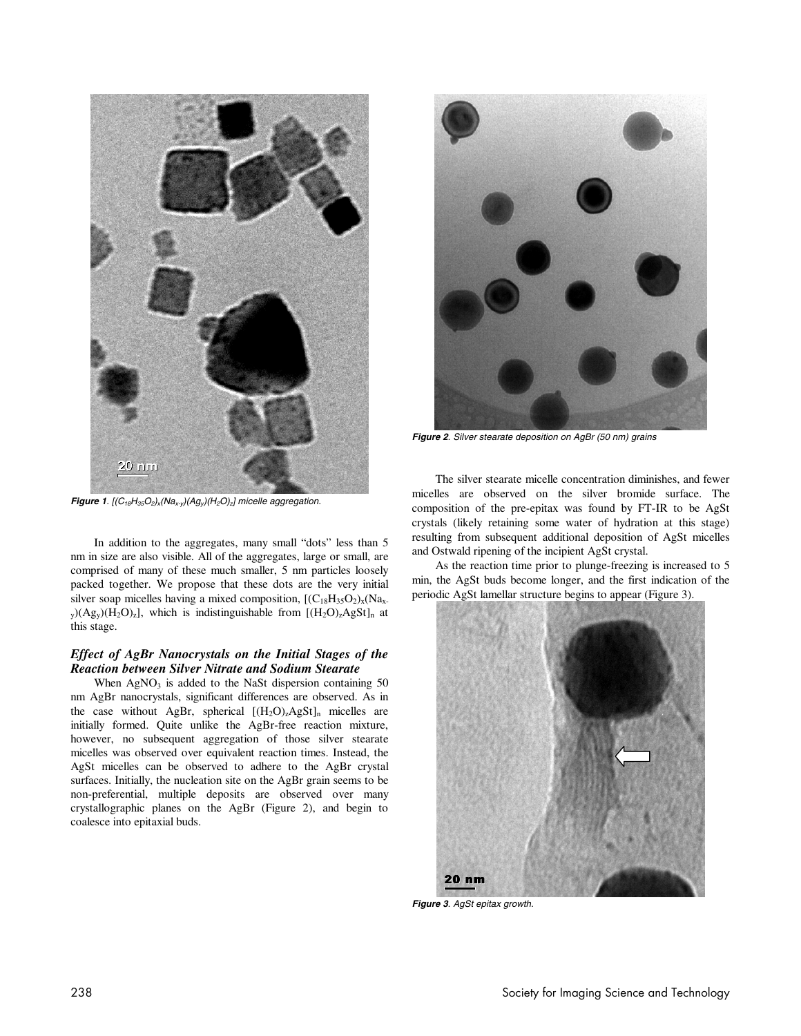



**Figure 2**. Silver stearate deposition on AgBr (50 nm) grains

**Figure 1**.  $[(C_{18}H_{35}O_2)_x(Na_{x-y})(Ag_y)(H_2O)_z]$  micelle aggregation.

In addition to the aggregates, many small "dots" less than 5 nm in size are also visible. All of the aggregates, large or small, are comprised of many of these much smaller, 5 nm particles loosely packed together. We propose that these dots are the very initial silver soap micelles having a mixed composition,  $[(C_{18}H_{35}O_2)_x(Na_x$  $_{\rm v}$ )(Ag<sub>v</sub>)(H<sub>2</sub>O)<sub>z</sub>], which is indistinguishable from [(H<sub>2</sub>O)<sub>z</sub>AgSt]<sub>n</sub> at this stage.

#### *Effect of AgBr Nanocrystals on the Initial Stages of the Reaction between Silver Nitrate and Sodium Stearate*

When  $AgNO<sub>3</sub>$  is added to the NaSt dispersion containing 50 nm AgBr nanocrystals, significant differences are observed. As in the case without AgBr, spherical  $[(H_2O)_zAgSt]_n$  micelles are initially formed. Quite unlike the AgBr-free reaction mixture, however, no subsequent aggregation of those silver stearate micelles was observed over equivalent reaction times. Instead, the AgSt micelles can be observed to adhere to the AgBr crystal surfaces. Initially, the nucleation site on the AgBr grain seems to be non-preferential, multiple deposits are observed over many crystallographic planes on the AgBr (Figure 2), and begin to coalesce into epitaxial buds.

The silver stearate micelle concentration diminishes, and fewer micelles are observed on the silver bromide surface. The composition of the pre-epitax was found by FT-IR to be AgSt crystals (likely retaining some water of hydration at this stage) resulting from subsequent additional deposition of AgSt micelles and Ostwald ripening of the incipient AgSt crystal.

As the reaction time prior to plunge-freezing is increased to 5 min, the AgSt buds become longer, and the first indication of the periodic AgSt lamellar structure begins to appear (Figure 3).



**Figure 3**. AgSt epitax growth.